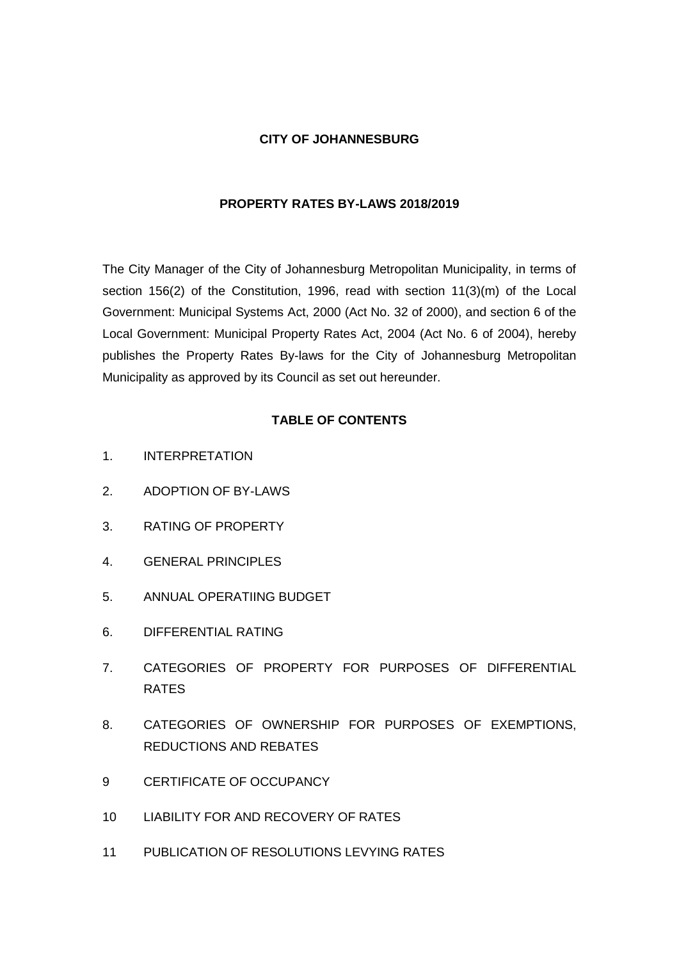#### **CITY OF JOHANNESBURG**

## **PROPERTY RATES BY-LAWS 2018/2019**

The City Manager of the City of Johannesburg Metropolitan Municipality, in terms of section 156(2) of the Constitution, 1996, read with section 11(3)(m) of the Local Government: Municipal Systems Act, 2000 (Act No. 32 of 2000), and section 6 of the Local Government: Municipal Property Rates Act, 2004 (Act No. 6 of 2004), hereby publishes the Property Rates By-laws for the City of Johannesburg Metropolitan Municipality as approved by its Council as set out hereunder.

## **TABLE OF CONTENTS**

- 1. INTERPRETATION
- 2. ADOPTION OF BY-LAWS
- 3. RATING OF PROPERTY
- 4. GENERAL PRINCIPLES
- 5. ANNUAL OPERATIING BUDGET
- 6. DIFFERENTIAL RATING
- 7. CATEGORIES OF PROPERTY FOR PURPOSES OF DIFFERENTIAL RATES
- 8. CATEGORIES OF OWNERSHIP FOR PURPOSES OF EXEMPTIONS, REDUCTIONS AND REBATES
- 9 CERTIFICATE OF OCCUPANCY
- 10 LIABILITY FOR AND RECOVERY OF RATES
- 11 PUBLICATION OF RESOLUTIONS LEVYING RATES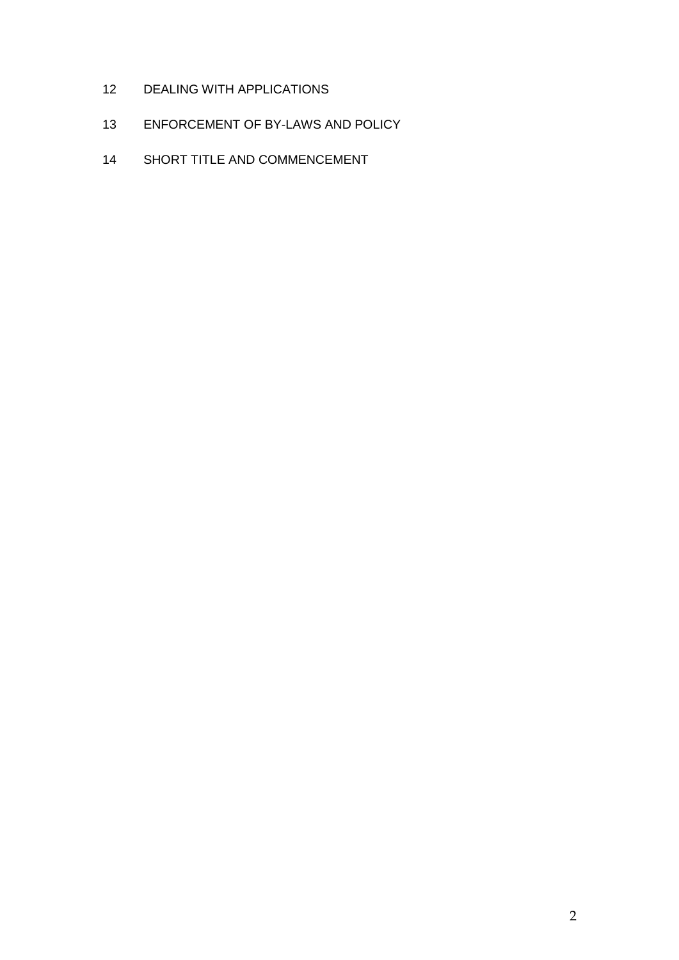- DEALING WITH APPLICATIONS
- ENFORCEMENT OF BY-LAWS AND POLICY
- SHORT TITLE AND COMMENCEMENT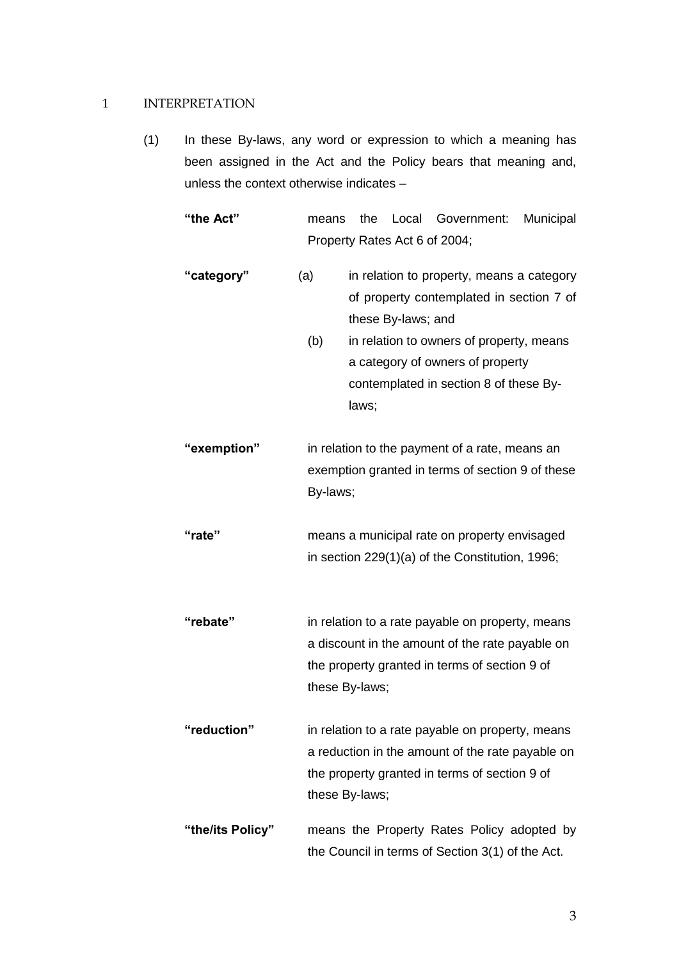#### 1 INTERPRETATION

(1) In these By-laws, any word or expression to which a meaning has been assigned in the Act and the Policy bears that meaning and, unless the context otherwise indicates –

**"the Act"** means the Local Government: Municipal Property Rates Act 6 of 2004;

- "**category**" (a) in relation to property, means a category of property contemplated in section 7 of these By-laws; and
	- (b) in relation to owners of property, means a category of owners of property contemplated in section 8 of these Bylaws;
- **"exemption"** in relation to the payment of a rate, means an exemption granted in terms of section 9 of these By-laws;
- **"rate"** means a municipal rate on property envisaged in section 229(1)(a) of the Constitution, 1996;
- **"rebate"** in relation to a rate payable on property, means a discount in the amount of the rate payable on the property granted in terms of section 9 of these By-laws;
- **"reduction"** in relation to a rate payable on property, means a reduction in the amount of the rate payable on the property granted in terms of section 9 of these By-laws;
- **"the/its Policy"** means the Property Rates Policy adopted by the Council in terms of Section 3(1) of the Act.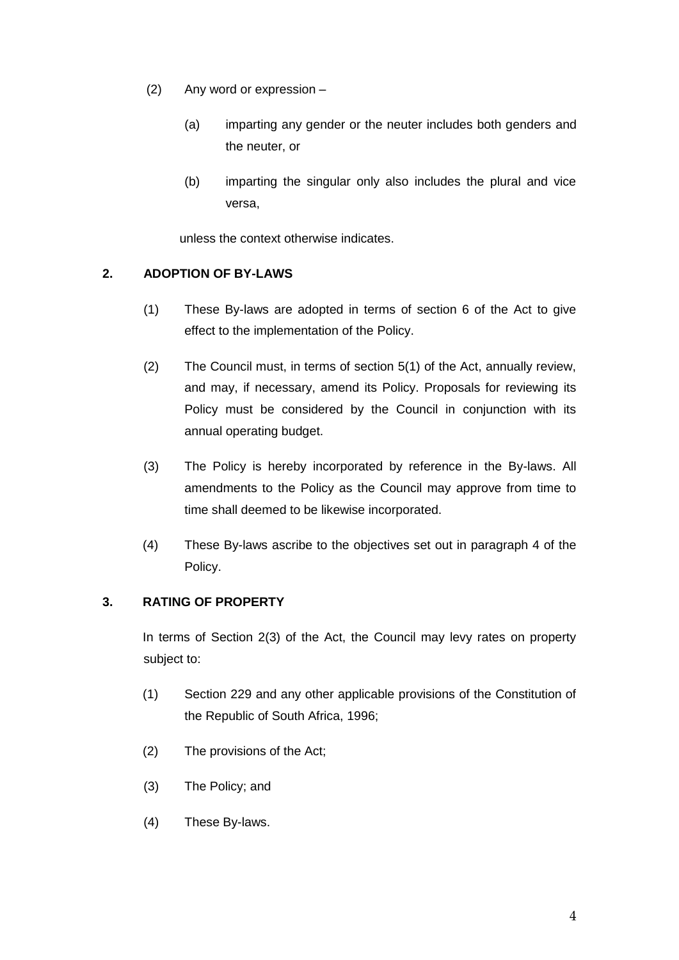- (2) Any word or expression
	- (a) imparting any gender or the neuter includes both genders and the neuter, or
	- (b) imparting the singular only also includes the plural and vice versa,

unless the context otherwise indicates.

## **2. ADOPTION OF BY-LAWS**

- (1) These By-laws are adopted in terms of section 6 of the Act to give effect to the implementation of the Policy.
- (2) The Council must, in terms of section 5(1) of the Act, annually review, and may, if necessary, amend its Policy. Proposals for reviewing its Policy must be considered by the Council in conjunction with its annual operating budget.
- (3) The Policy is hereby incorporated by reference in the By-laws. All amendments to the Policy as the Council may approve from time to time shall deemed to be likewise incorporated.
- (4) These By-laws ascribe to the objectives set out in paragraph 4 of the Policy.

## **3. RATING OF PROPERTY**

In terms of Section 2(3) of the Act, the Council may levy rates on property subject to:

- (1) Section 229 and any other applicable provisions of the Constitution of the Republic of South Africa, 1996;
- (2) The provisions of the Act;
- (3) The Policy; and
- (4) These By-laws.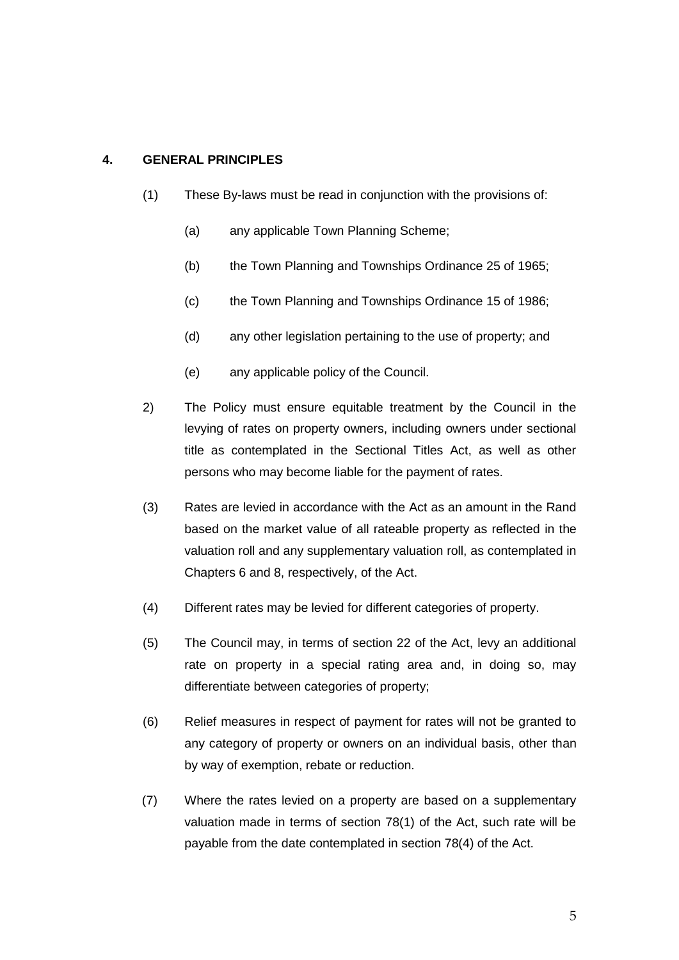## **4. GENERAL PRINCIPLES**

- (1) These By-laws must be read in conjunction with the provisions of:
	- (a) any applicable Town Planning Scheme;
	- (b) the Town Planning and Townships Ordinance 25 of 1965;
	- (c) the Town Planning and Townships Ordinance 15 of 1986;
	- (d) any other legislation pertaining to the use of property; and
	- (e) any applicable policy of the Council.
- 2) The Policy must ensure equitable treatment by the Council in the levying of rates on property owners, including owners under sectional title as contemplated in the Sectional Titles Act, as well as other persons who may become liable for the payment of rates.
- (3) Rates are levied in accordance with the Act as an amount in the Rand based on the market value of all rateable property as reflected in the valuation roll and any supplementary valuation roll, as contemplated in Chapters 6 and 8, respectively, of the Act.
- (4) Different rates may be levied for different categories of property.
- (5) The Council may, in terms of section 22 of the Act, levy an additional rate on property in a special rating area and, in doing so, may differentiate between categories of property;
- (6) Relief measures in respect of payment for rates will not be granted to any category of property or owners on an individual basis, other than by way of exemption, rebate or reduction.
- (7) Where the rates levied on a property are based on a supplementary valuation made in terms of section 78(1) of the Act, such rate will be payable from the date contemplated in section 78(4) of the Act.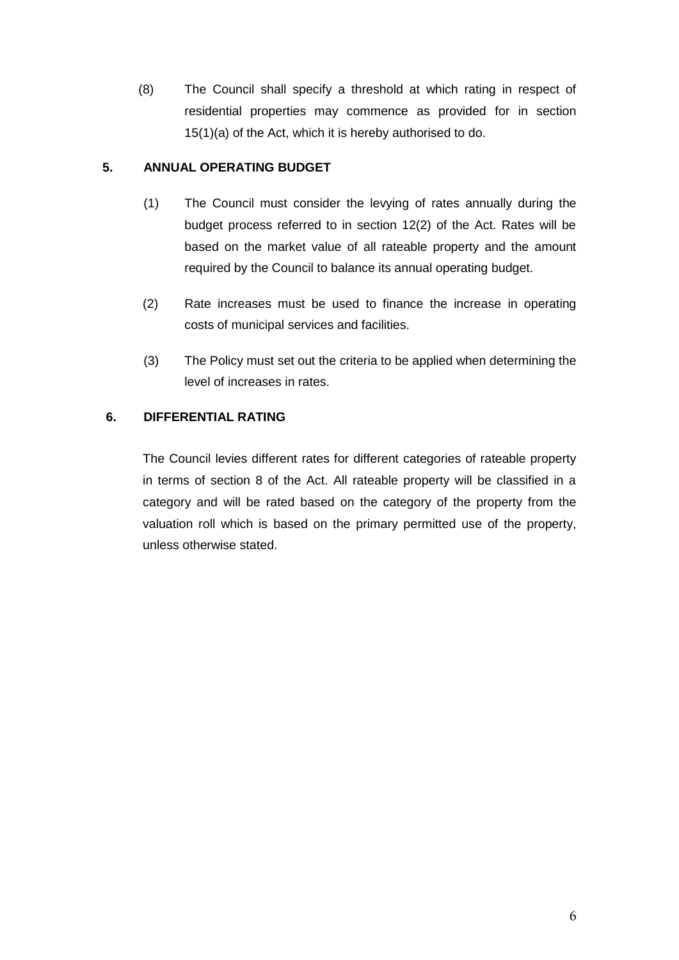(8) The Council shall specify a threshold at which rating in respect of residential properties may commence as provided for in section 15(1)(a) of the Act, which it is hereby authorised to do.

## **5. ANNUAL OPERATING BUDGET**

- (1) The Council must consider the levying of rates annually during the budget process referred to in section 12(2) of the Act. Rates will be based on the market value of all rateable property and the amount required by the Council to balance its annual operating budget.
- (2) Rate increases must be used to finance the increase in operating costs of municipal services and facilities.
- (3) The Policy must set out the criteria to be applied when determining the level of increases in rates.

## **6. DIFFERENTIAL RATING**

The Council levies different rates for different categories of rateable property in terms of section 8 of the Act. All rateable property will be classified in a category and will be rated based on the category of the property from the valuation roll which is based on the primary permitted use of the property, unless otherwise stated.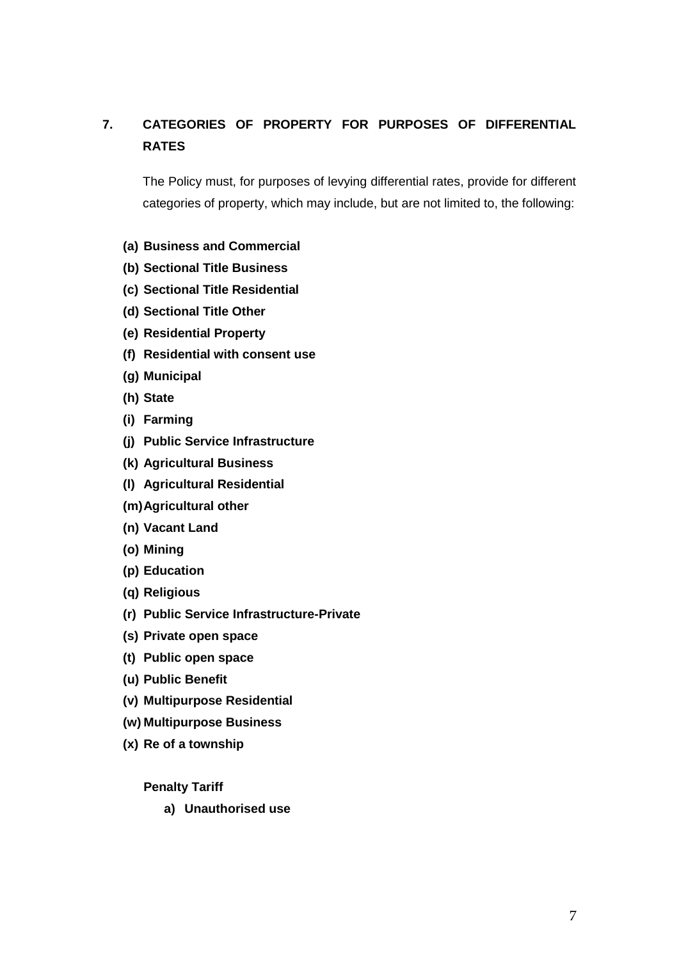# **7. CATEGORIES OF PROPERTY FOR PURPOSES OF DIFFERENTIAL RATES**

The Policy must, for purposes of levying differential rates, provide for different categories of property, which may include, but are not limited to, the following:

- **(a) Business and Commercial**
- **(b) Sectional Title Business**
- **(c) Sectional Title Residential**
- **(d) Sectional Title Other**
- **(e) Residential Property**
- **(f) Residential with consent use**
- **(g) Municipal**
- **(h) State**
- **(i) Farming**
- **(j) Public Service Infrastructure**
- **(k) Agricultural Business**
- **(l) Agricultural Residential**
- **(m)Agricultural other**
- **(n) Vacant Land**
- **(o) Mining**
- **(p) Education**
- **(q) Religious**
- **(r) Public Service Infrastructure-Private**
- **(s) Private open space**
- **(t) Public open space**
- **(u) Public Benefit**
- **(v) Multipurpose Residential**
- **(w) Multipurpose Business**
- **(x) Re of a township**

#### **Penalty Tariff**

**a) Unauthorised use**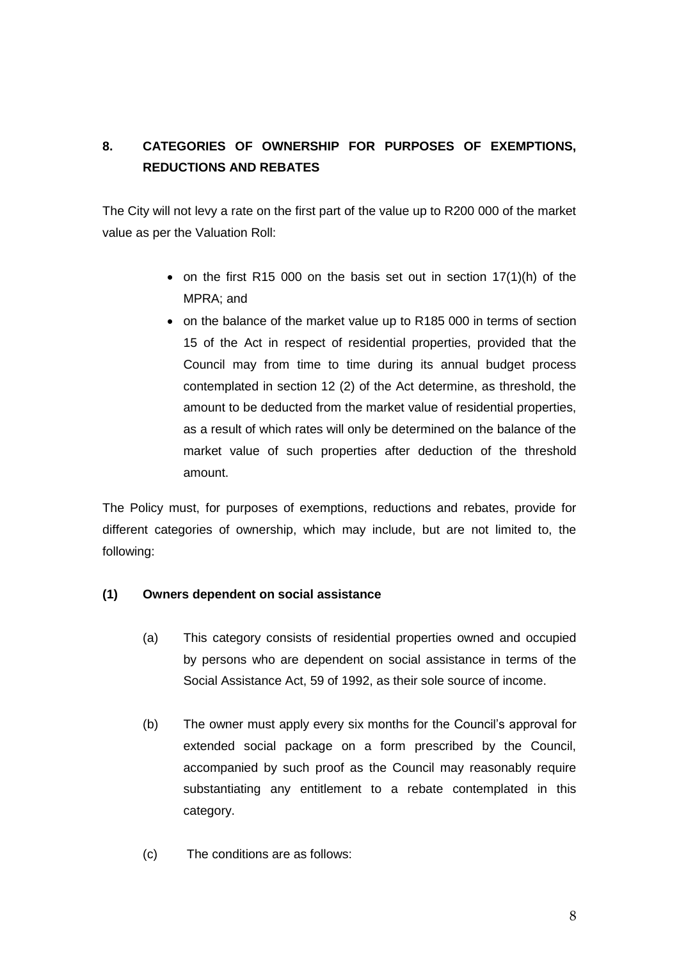# **8. CATEGORIES OF OWNERSHIP FOR PURPOSES OF EXEMPTIONS, REDUCTIONS AND REBATES**

The City will not levy a rate on the first part of the value up to R200 000 of the market value as per the Valuation Roll:

- on the first R15 000 on the basis set out in section  $17(1)(h)$  of the MPRA; and
- on the balance of the market value up to R185 000 in terms of section 15 of the Act in respect of residential properties, provided that the Council may from time to time during its annual budget process contemplated in section 12 (2) of the Act determine, as threshold, the amount to be deducted from the market value of residential properties, as a result of which rates will only be determined on the balance of the market value of such properties after deduction of the threshold amount.

The Policy must, for purposes of exemptions, reductions and rebates, provide for different categories of ownership, which may include, but are not limited to, the following:

## **(1) Owners dependent on social assistance**

- (a) This category consists of residential properties owned and occupied by persons who are dependent on social assistance in terms of the Social Assistance Act, 59 of 1992, as their sole source of income.
- (b) The owner must apply every six months for the Council's approval for extended social package on a form prescribed by the Council, accompanied by such proof as the Council may reasonably require substantiating any entitlement to a rebate contemplated in this category.
- (c) The conditions are as follows: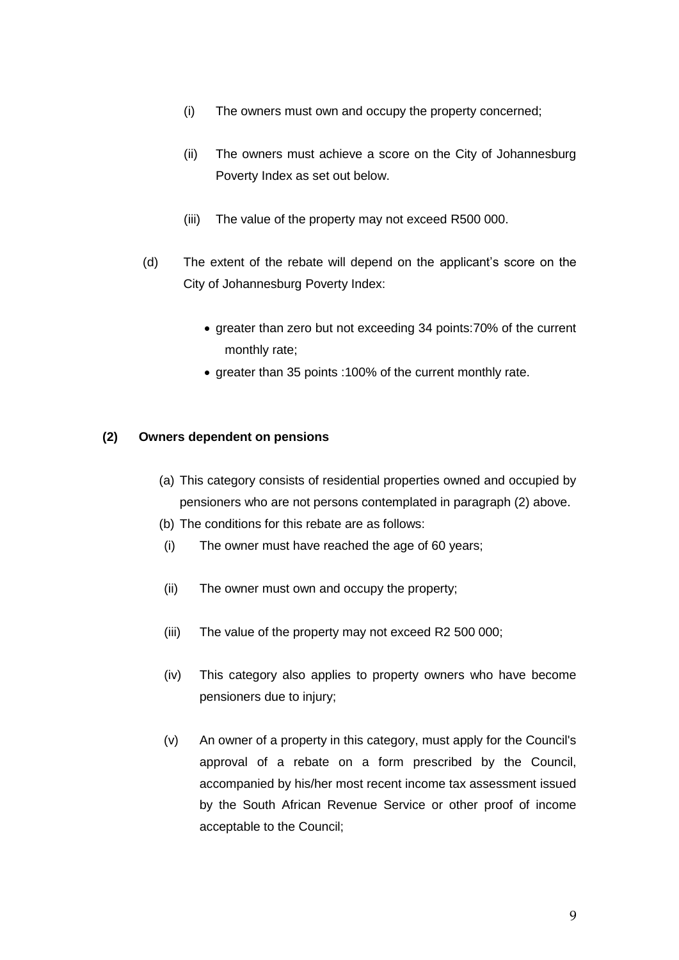- (i) The owners must own and occupy the property concerned;
- (ii) The owners must achieve a score on the City of Johannesburg Poverty Index as set out below.
- (iii) The value of the property may not exceed R500 000.
- (d) The extent of the rebate will depend on the applicant's score on the City of Johannesburg Poverty Index:
	- greater than zero but not exceeding 34 points:70% of the current monthly rate;
	- greater than 35 points :100% of the current monthly rate.

## **(2) Owners dependent on pensions**

- (a) This category consists of residential properties owned and occupied by pensioners who are not persons contemplated in paragraph (2) above.
- (b) The conditions for this rebate are as follows:
- (i) The owner must have reached the age of 60 years;
- (ii) The owner must own and occupy the property;
- (iii) The value of the property may not exceed R2 500 000;
- (iv) This category also applies to property owners who have become pensioners due to injury;
- (v) An owner of a property in this category, must apply for the Council's approval of a rebate on a form prescribed by the Council, accompanied by his/her most recent income tax assessment issued by the South African Revenue Service or other proof of income acceptable to the Council;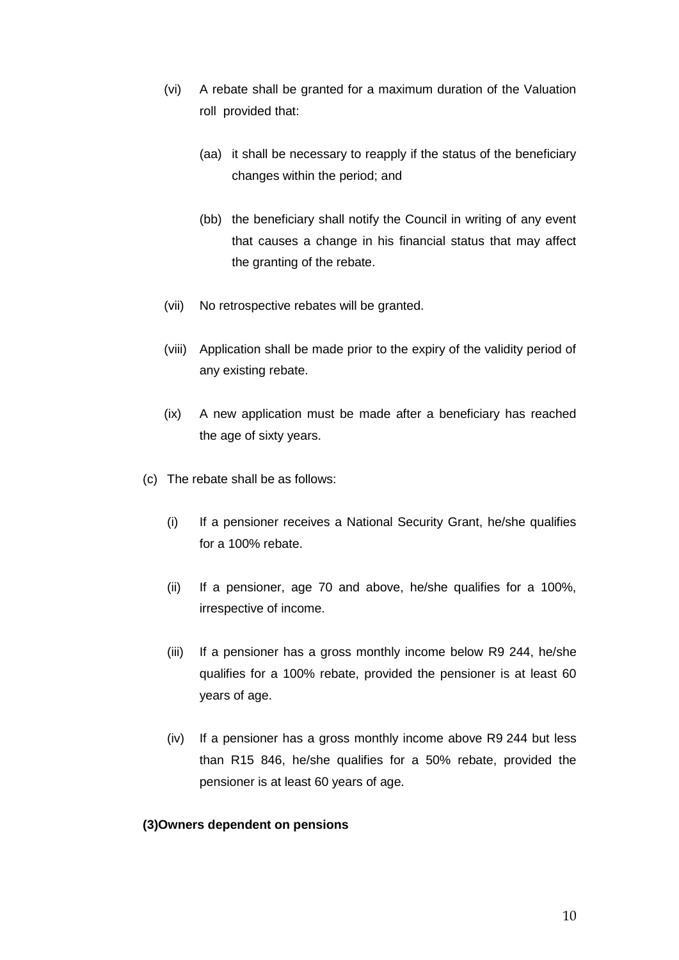- (vi) A rebate shall be granted for a maximum duration of the Valuation roll provided that:
	- (aa) it shall be necessary to reapply if the status of the beneficiary changes within the period; and
	- (bb) the beneficiary shall notify the Council in writing of any event that causes a change in his financial status that may affect the granting of the rebate.
- (vii) No retrospective rebates will be granted.
- (viii) Application shall be made prior to the expiry of the validity period of any existing rebate.
- (ix) A new application must be made after a beneficiary has reached the age of sixty years.
- (c) The rebate shall be as follows:
	- (i) If a pensioner receives a National Security Grant, he/she qualifies for a 100% rebate.
	- (ii) If a pensioner, age 70 and above, he/she qualifies for a 100%, irrespective of income.
	- (iii) If a pensioner has a gross monthly income below R9 244, he/she qualifies for a 100% rebate, provided the pensioner is at least 60 years of age.
	- (iv) If a pensioner has a gross monthly income above R9 244 but less than R15 846, he/she qualifies for a 50% rebate, provided the pensioner is at least 60 years of age.

#### **(3)Owners dependent on pensions**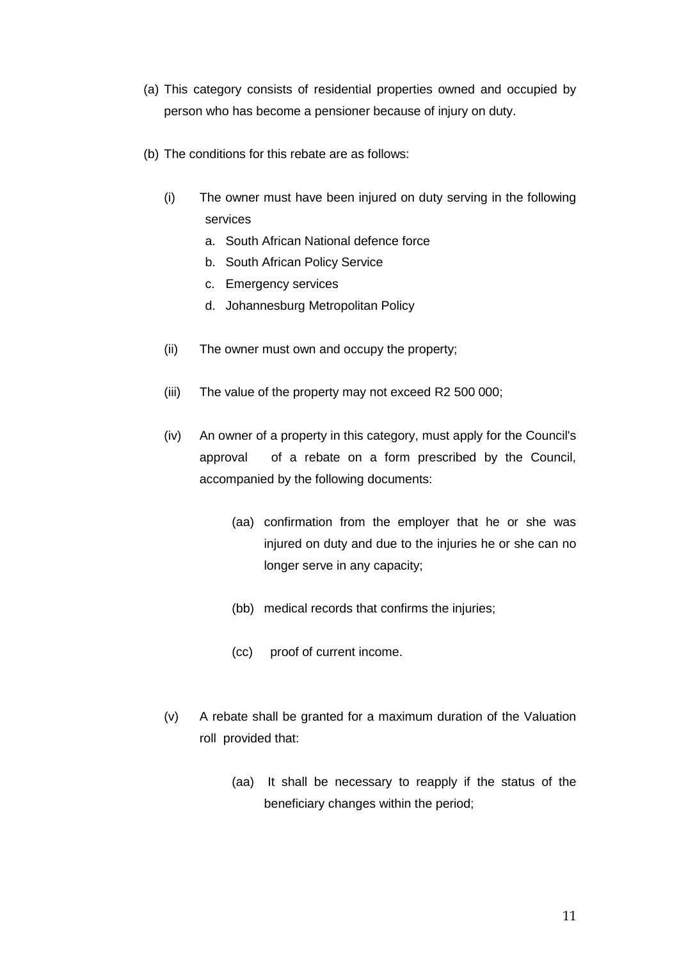- (a) This category consists of residential properties owned and occupied by person who has become a pensioner because of injury on duty.
- (b) The conditions for this rebate are as follows:
	- (i) The owner must have been injured on duty serving in the following services
		- a. South African National defence force
		- b. South African Policy Service
		- c. Emergency services
		- d. Johannesburg Metropolitan Policy
	- (ii) The owner must own and occupy the property;
	- (iii) The value of the property may not exceed R2 500 000;
	- (iv) An owner of a property in this category, must apply for the Council's approval of a rebate on a form prescribed by the Council, accompanied by the following documents:
		- (aa) confirmation from the employer that he or she was injured on duty and due to the injuries he or she can no longer serve in any capacity;
		- (bb) medical records that confirms the injuries;
		- (cc) proof of current income.
	- (v) A rebate shall be granted for a maximum duration of the Valuation roll provided that:
		- (aa) It shall be necessary to reapply if the status of the beneficiary changes within the period;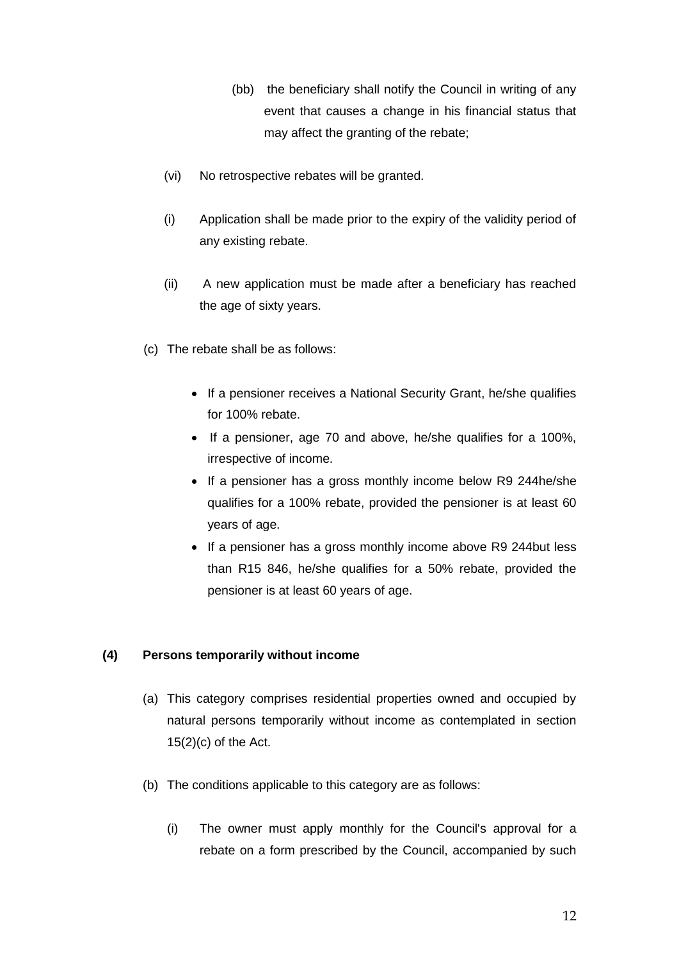- (bb) the beneficiary shall notify the Council in writing of any event that causes a change in his financial status that may affect the granting of the rebate;
- (vi) No retrospective rebates will be granted.
- (i) Application shall be made prior to the expiry of the validity period of any existing rebate.
- (ii) A new application must be made after a beneficiary has reached the age of sixty years.
- (c) The rebate shall be as follows:
	- If a pensioner receives a National Security Grant, he/she qualifies for 100% rebate.
	- If a pensioner, age 70 and above, he/she qualifies for a 100%, irrespective of income.
	- If a pensioner has a gross monthly income below R9 244he/she qualifies for a 100% rebate, provided the pensioner is at least 60 years of age.
	- If a pensioner has a gross monthly income above R9 244but less than R15 846, he/she qualifies for a 50% rebate, provided the pensioner is at least 60 years of age.

## **(4) Persons temporarily without income**

- (a) This category comprises residential properties owned and occupied by natural persons temporarily without income as contemplated in section  $15(2)(c)$  of the Act.
- (b) The conditions applicable to this category are as follows:
	- (i) The owner must apply monthly for the Council's approval for a rebate on a form prescribed by the Council, accompanied by such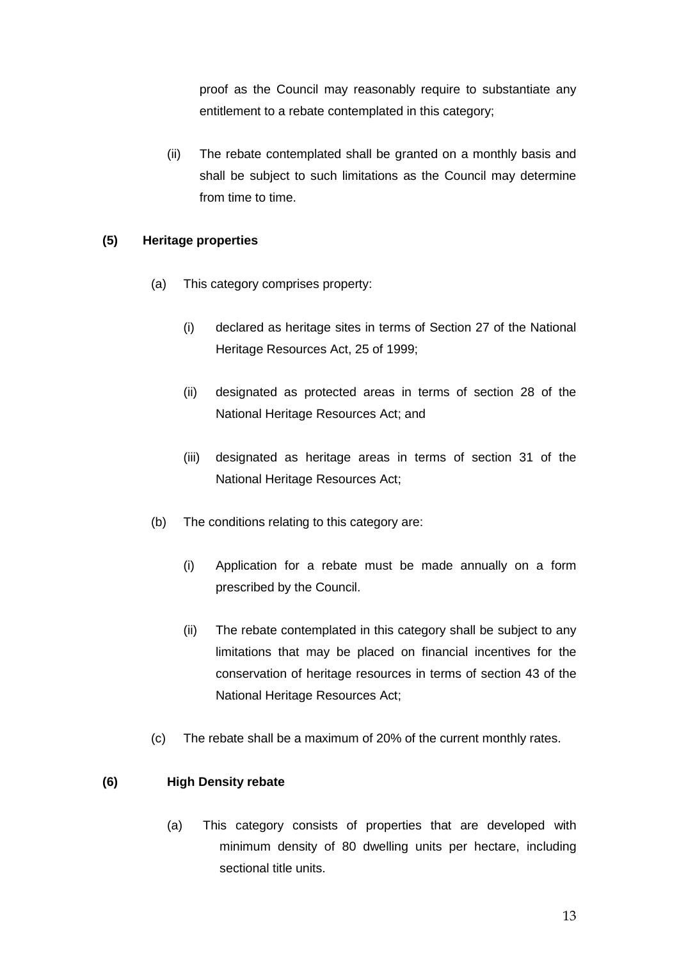proof as the Council may reasonably require to substantiate any entitlement to a rebate contemplated in this category;

(ii) The rebate contemplated shall be granted on a monthly basis and shall be subject to such limitations as the Council may determine from time to time.

#### **(5) Heritage properties**

- (a) This category comprises property:
	- (i) declared as heritage sites in terms of Section 27 of the National Heritage Resources Act, 25 of 1999;
	- (ii) designated as protected areas in terms of section 28 of the National Heritage Resources Act; and
	- (iii) designated as heritage areas in terms of section 31 of the National Heritage Resources Act;
- (b) The conditions relating to this category are:
	- (i) Application for a rebate must be made annually on a form prescribed by the Council.
	- (ii) The rebate contemplated in this category shall be subject to any limitations that may be placed on financial incentives for the conservation of heritage resources in terms of section 43 of the National Heritage Resources Act;
- (c) The rebate shall be a maximum of 20% of the current monthly rates.

#### **(6) High Density rebate**

(a) This category consists of properties that are developed with minimum density of 80 dwelling units per hectare, including sectional title units.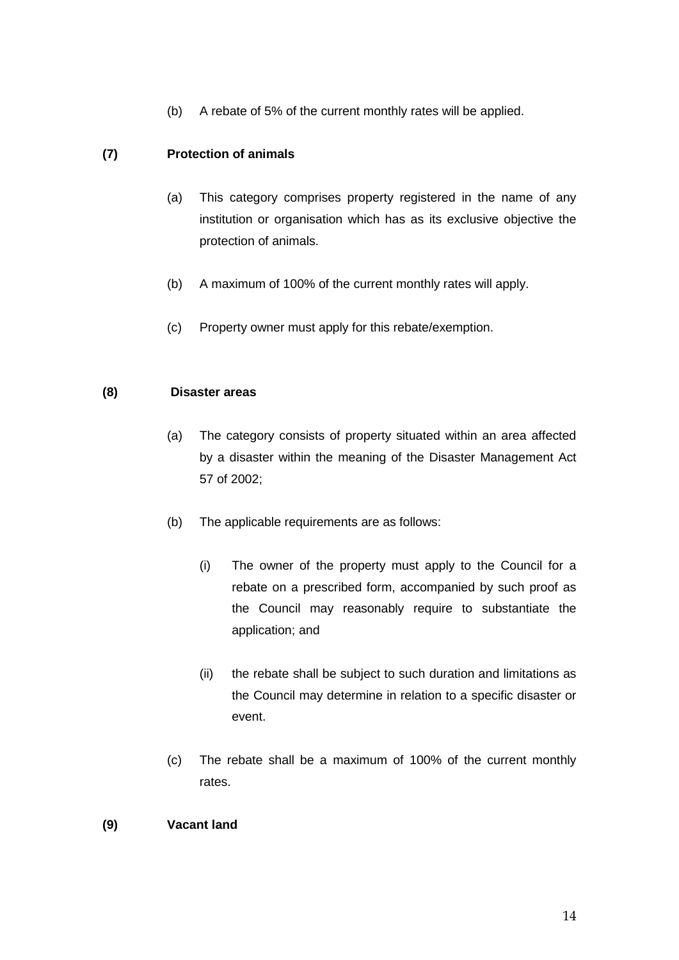(b) A rebate of 5% of the current monthly rates will be applied.

# **(7) Protection of animals**

- (a) This category comprises property registered in the name of any institution or organisation which has as its exclusive objective the protection of animals.
- (b) A maximum of 100% of the current monthly rates will apply.
- (c) Property owner must apply for this rebate/exemption.

## **(8) Disaster areas**

- (a) The category consists of property situated within an area affected by a disaster within the meaning of the Disaster Management Act 57 of 2002;
- (b) The applicable requirements are as follows:
	- (i) The owner of the property must apply to the Council for a rebate on a prescribed form, accompanied by such proof as the Council may reasonably require to substantiate the application; and
	- (ii) the rebate shall be subject to such duration and limitations as the Council may determine in relation to a specific disaster or event.
- (c) The rebate shall be a maximum of 100% of the current monthly rates.

## **(9) Vacant land**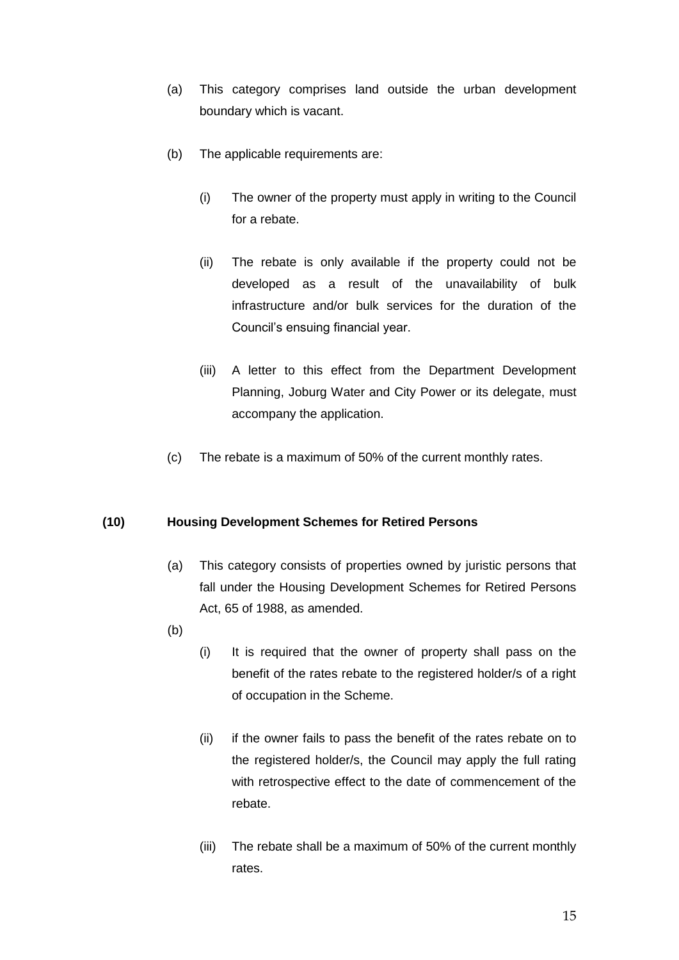- (a) This category comprises land outside the urban development boundary which is vacant.
- (b) The applicable requirements are:
	- (i) The owner of the property must apply in writing to the Council for a rebate.
	- (ii) The rebate is only available if the property could not be developed as a result of the unavailability of bulk infrastructure and/or bulk services for the duration of the Council's ensuing financial year.
	- (iii) A letter to this effect from the Department Development Planning, Joburg Water and City Power or its delegate, must accompany the application.
- (c) The rebate is a maximum of 50% of the current monthly rates.

#### **(10) Housing Development Schemes for Retired Persons**

- (a) This category consists of properties owned by juristic persons that fall under the Housing Development Schemes for Retired Persons Act, 65 of 1988, as amended.
- (b)
- (i) It is required that the owner of property shall pass on the benefit of the rates rebate to the registered holder/s of a right of occupation in the Scheme.
- (ii) if the owner fails to pass the benefit of the rates rebate on to the registered holder/s, the Council may apply the full rating with retrospective effect to the date of commencement of the rebate.
- (iii) The rebate shall be a maximum of 50% of the current monthly rates.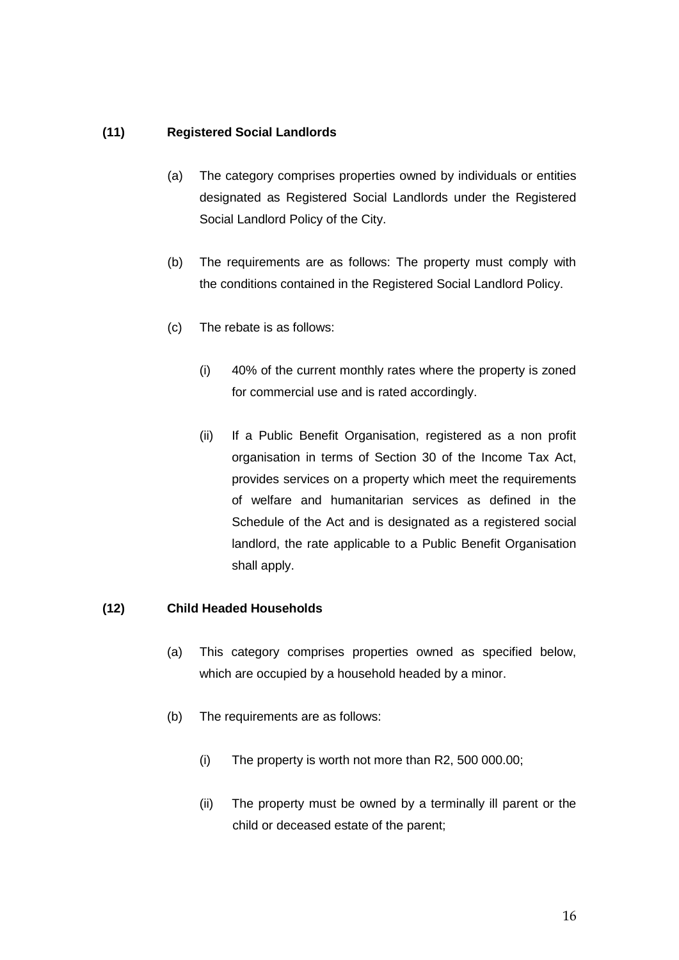## **(11) Registered Social Landlords**

- (a) The category comprises properties owned by individuals or entities designated as Registered Social Landlords under the Registered Social Landlord Policy of the City.
- (b) The requirements are as follows: The property must comply with the conditions contained in the Registered Social Landlord Policy.
- (c) The rebate is as follows:
	- (i) 40% of the current monthly rates where the property is zoned for commercial use and is rated accordingly.
	- (ii) If a Public Benefit Organisation, registered as a non profit organisation in terms of Section 30 of the Income Tax Act, provides services on a property which meet the requirements of welfare and humanitarian services as defined in the Schedule of the Act and is designated as a registered social landlord, the rate applicable to a Public Benefit Organisation shall apply.

#### **(12) Child Headed Households**

- (a) This category comprises properties owned as specified below, which are occupied by a household headed by a minor.
- (b) The requirements are as follows:
	- (i) The property is worth not more than R2, 500 000.00;
	- (ii) The property must be owned by a terminally ill parent or the child or deceased estate of the parent;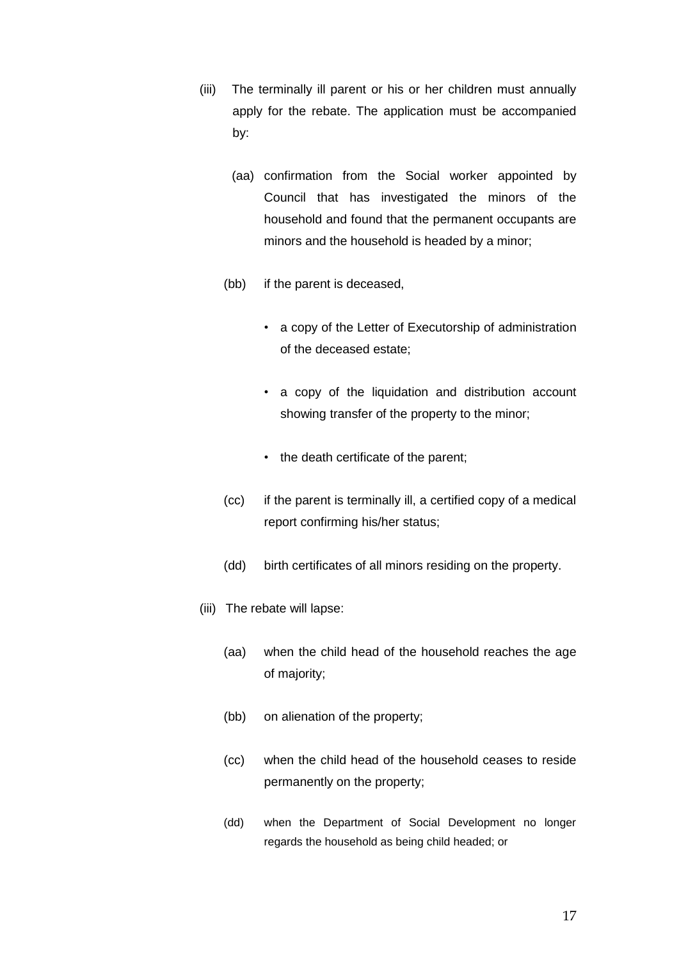- (iii) The terminally ill parent or his or her children must annually apply for the rebate. The application must be accompanied by:
	- (aa) confirmation from the Social worker appointed by Council that has investigated the minors of the household and found that the permanent occupants are minors and the household is headed by a minor;
	- (bb) if the parent is deceased,
		- a copy of the Letter of Executorship of administration of the deceased estate;
		- a copy of the liquidation and distribution account showing transfer of the property to the minor;
		- the death certificate of the parent;
	- (cc) if the parent is terminally ill, a certified copy of a medical report confirming his/her status;
	- (dd) birth certificates of all minors residing on the property.
- (iii) The rebate will lapse:
	- (aa) when the child head of the household reaches the age of majority;
	- (bb) on alienation of the property;
	- (cc) when the child head of the household ceases to reside permanently on the property;
	- (dd) when the Department of Social Development no longer regards the household as being child headed; or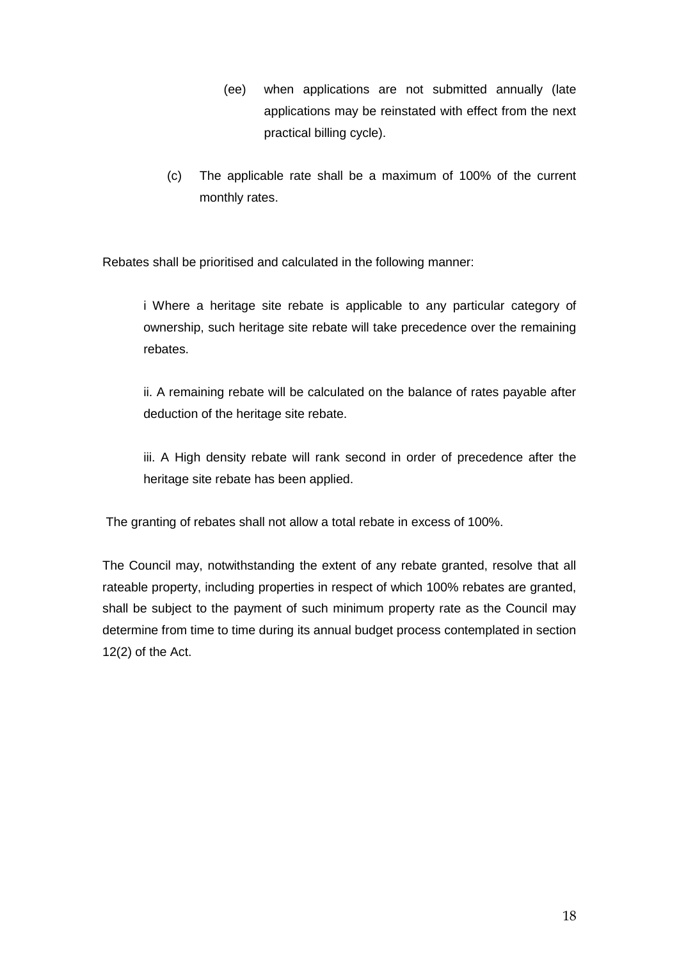- (ee) when applications are not submitted annually (late applications may be reinstated with effect from the next practical billing cycle).
- (c) The applicable rate shall be a maximum of 100% of the current monthly rates.

Rebates shall be prioritised and calculated in the following manner:

i Where a heritage site rebate is applicable to any particular category of ownership, such heritage site rebate will take precedence over the remaining rebates.

ii. A remaining rebate will be calculated on the balance of rates payable after deduction of the heritage site rebate.

iii. A High density rebate will rank second in order of precedence after the heritage site rebate has been applied.

The granting of rebates shall not allow a total rebate in excess of 100%.

The Council may, notwithstanding the extent of any rebate granted, resolve that all rateable property, including properties in respect of which 100% rebates are granted, shall be subject to the payment of such minimum property rate as the Council may determine from time to time during its annual budget process contemplated in section 12(2) of the Act.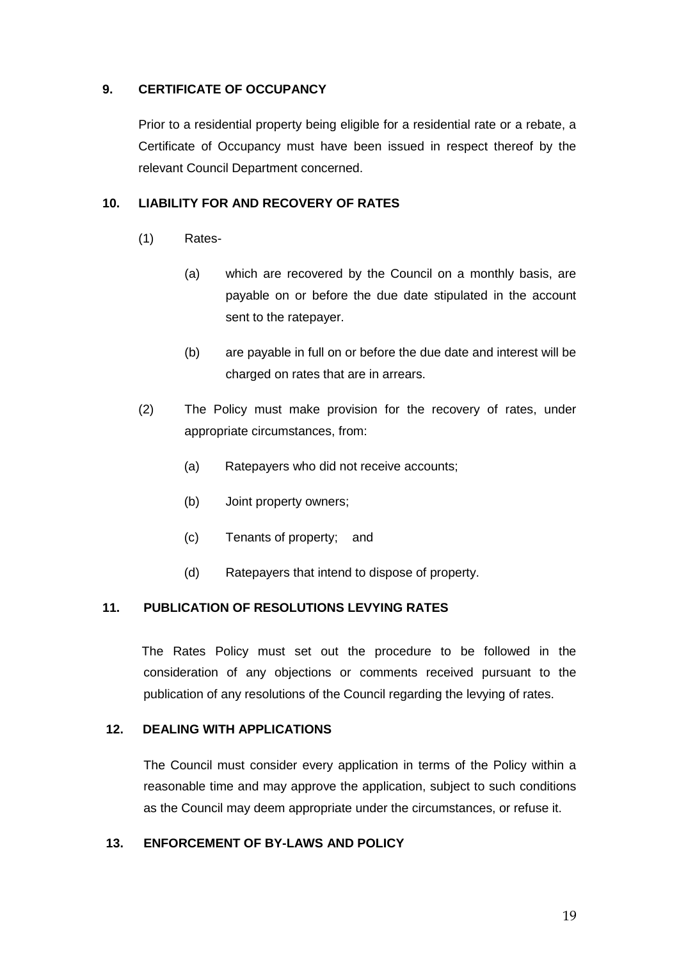## **9. CERTIFICATE OF OCCUPANCY**

Prior to a residential property being eligible for a residential rate or a rebate, a Certificate of Occupancy must have been issued in respect thereof by the relevant Council Department concerned.

## **10. LIABILITY FOR AND RECOVERY OF RATES**

- (1) Rates-
	- (a) which are recovered by the Council on a monthly basis, are payable on or before the due date stipulated in the account sent to the ratepayer.
	- (b) are payable in full on or before the due date and interest will be charged on rates that are in arrears.
- (2) The Policy must make provision for the recovery of rates, under appropriate circumstances, from:
	- (a) Ratepayers who did not receive accounts;
	- (b) Joint property owners;
	- (c) Tenants of property; and
	- (d) Ratepayers that intend to dispose of property.

## **11. PUBLICATION OF RESOLUTIONS LEVYING RATES**

The Rates Policy must set out the procedure to be followed in the consideration of any objections or comments received pursuant to the publication of any resolutions of the Council regarding the levying of rates.

#### **12. DEALING WITH APPLICATIONS**

The Council must consider every application in terms of the Policy within a reasonable time and may approve the application, subject to such conditions as the Council may deem appropriate under the circumstances, or refuse it.

## **13. ENFORCEMENT OF BY-LAWS AND POLICY**